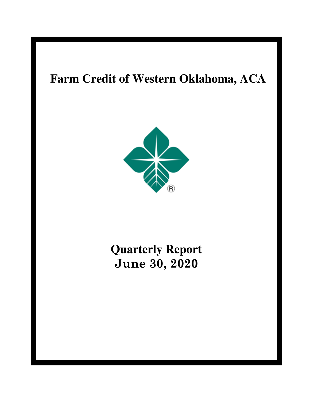# **Farm Credit of Western Oklahoma, ACA**



# **Quarterly Report June 30, 2020**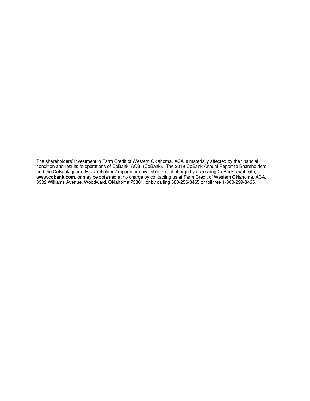The shareholders' investment in Farm Credit of Western Oklahoma, ACA is materially affected by the financial condition and results of operations of CoBank, ACB, (CoBank). The 2019 CoBank Annual Report to Shareholders and the CoBank quarterly shareholders' reports are available free of charge by accessing CoBank's web site, **www.cobank.com**, or may be obtained at no charge by contacting us at Farm Credit of Western Oklahoma, ACA, 3302 Williams Avenue, Woodward, Oklahoma 73801, or by calling 580-256-3465 or toll free 1-800-299-3465.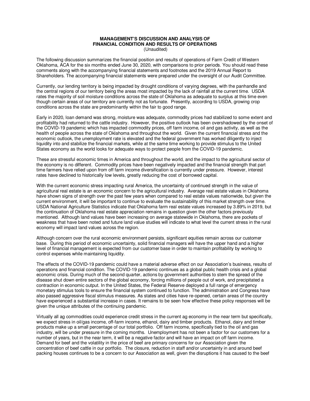#### **MANAGEMENT'S DISCUSSION AND ANALYSIS OF FINANCIAL CONDITION AND RESULTS OF OPERATIONS**  (Unaudited)

The following discussion summarizes the financial position and results of operations of Farm Credit of Western Oklahoma, ACA for the six months ended June 30, 2020, with comparisons to prior periods. You should read these comments along with the accompanying financial statements and footnotes and the 2019 Annual Report to Shareholders. The accompanying financial statements were prepared under the oversight of our Audit Committee.

Currently, our lending territory is being impacted by drought conditions of varying degrees, with the panhandle and the central regions of our territory being the areas most impacted by the lack of rainfall at the current time. USDA rates the majority of soil moisture conditions across the state of Oklahoma as adequate to surplus at this time even though certain areas of our territory are currently not as fortunate. Presently, according to USDA, growing crop conditions across the state are predominantly within the fair to good range.

Early in 2020, loan demand was strong, moisture was adequate, commodity prices had stabilized to some extent and profitability had returned to the cattle industry. However, the positive outlook has been overshadowed by the onset of the COVID-19 pandemic which has impacted commodity prices, off farm income, oil and gas activity, as well as the health of people across the state of Oklahoma and throughout the world. Given the current financial stress and the economic outlook, the unemployment rate is elevated and the federal government has worked diligently to inject liquidity into and stabilize the financial markets, while at the same time working to provide stimulus to the United States economy as the world looks for adequate ways to protect people from the COVID-19 pandemic.

These are stressful economic times in America and throughout the world, and the impact to the agricultural sector of the economy is no different. Commodity prices have been negatively impacted and the financial strength that part time farmers have relied upon from off farm income diversification is currently under pressure. However, interest rates have declined to historically low levels, greatly reducing the cost of borrowed capital.

With the current economic stress impacting rural America, the uncertainty of continued strength in the value of agricultural real estate is an economic concern to the agricultural industry. Average real estate values in Oklahoma have shown signs of strength over the past few years when compared to real estate values nationwide, but given the current environment, it will be important to continue to evaluate the sustainability of this market strength over time. USDA National Agriculture Statistics indicate that Oklahoma farm real estate values increased by 3.89% in 2019, but the continuation of Oklahoma real estate appreciation remains in question given the other factors previously mentioned. Although land values have been increasing on average statewide in Oklahoma, there are pockets of weakness that have been noted and future land value studies will indicate to what level the current stress in the rural economy will impact land values across the region.

Although concern over the rural economic environment persists, significant equities remain across our customer base. During this period of economic uncertainty, solid financial managers will have the upper hand and a higher level of financial management is expected from our customer base in order to maintain profitability by working to control expenses while maintaining liquidity.

The effects of the COVID-19 pandemic could have a material adverse effect on our Association's business, results of operations and financial condition. The COVID-19 pandemic continues as a global public health crisis and a global economic crisis. During much of the second quarter, actions by government authorities to stem the spread of the disease shut down entire sectors of the global economy, forcing millions of people out of work, and precipitated a contraction in economic output. In the United States, the Federal Reserve deployed a full range of emergency monetary stimulus tools to ensure the financial system continued to function. The administration and Congress have also passed aggressive fiscal stimulus measures. As states and cities have re-opened, certain areas of the country have experienced a substantial increase in cases. It remains to be seen how effective these policy responses will be given the unique attributes of the continuing pandemic.

Virtually all ag commodities could experience credit stress in the current ag economy in the near term but specifically, we expect stress in oil/gas income, off-farm income, ethanol, dairy and timber products. Ethanol, dairy and timber products make up a small percentage of our total portfolio. Off farm income, specifically tied to the oil and gas industry, will be under pressure in the coming months. Unemployment has not been a factor for our customers for a number of years, but in the near term, it will be a negative factor and will have an impact on off farm income. Demand for beef and the volatility in the price of beef are primary concerns for our Association given the concentration of beef cattle in our portfolio. The closure, reduction in staff and/or uncertainty in and around beef packing houses continues to be a concern to our Association as well, given the disruptions it has caused to the beef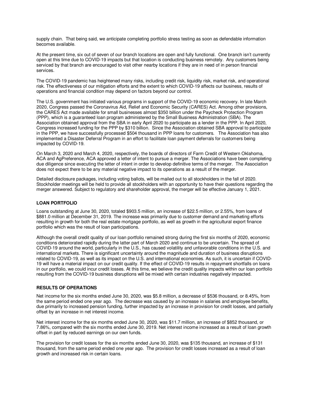supply chain.That being said, we anticipate completing portfolio stress testing as soon as defendable information becomes available.

At the present time, six out of seven of our branch locations are open and fully functional. One branch isn't currently open at this time due to COVID-19 impacts but that location is conducting business remotely. Any customers being serviced by that branch are encouraged to visit other nearby locations if they are in need of in person financial services.

The COVID-19 pandemic has heightened many risks, including credit risk, liquidity risk, market risk, and operational risk. The effectiveness of our mitigation efforts and the extent to which COVID-19 affects our business, results of operations and financial condition may depend on factors beyond our control.

The U.S. government has initiated various programs in support of the COVID-19 economic recovery. In late March 2020, Congress passed the Coronavirus Aid, Relief and Economic Security (CARES) Act. Among other provisions, the CARES Act made available for small businesses almost \$350 billion under the Paycheck Protection Program (PPP), which is a guaranteed loan program administered by the Small Business Administration (SBA). The Association obtained approval from the SBA in early April 2020 to participate as a lender in the PPP. In April 2020, Congress increased funding for the PPP by \$310 billion. Since the Association obtained SBA approval to participate in the PPP, we have successfully processed \$504 thousand in PPP loans for customers. The Association has also implemented a Disaster Deferral Program in an effort to facilitate loan payment deferrals for customers being impacted by COVID-19.

On March 3, 2020 and March 4, 2020, respectively, the boards of directors of Farm Credit of Western Oklahoma, ACA and AgPreference, ACA approved a letter of intent to pursue a merger. The Associations have been completing due diligence since executing the letter of intent in order to develop definitive terms of the merger. The Association does not expect there to be any material negative impact to its operations as a result of the merger.

Detailed disclosure packages, including voting ballots, will be mailed out to all stockholders in the fall of 2020. Stockholder meetings will be held to provide all stockholders with an opportunity to have their questions regarding the merger answered. Subject to regulatory and shareholder approval, the merger will be effective January 1, 2021.

#### **LOAN PORTFOLIO**

Loans outstanding at June 30, 2020, totaled \$903.5 million, an increase of \$22.5 million, or 2.55%, from loans of \$881.0 million at December 31, 2019. The increase was primarily due to customer demand and marketing efforts resulting in growth for both the real estate mortgage portfolio, as well as growth in the agricultural export finance portfolio which was the result of loan participations.

Although the overall credit quality of our loan portfolio remained strong during the first six months of 2020, economic conditions deteriorated rapidly during the latter part of March 2020 and continue to be uncertain. The spread of COVID-19 around the world, particularly in the U.S., has caused volatility and unfavorable conditions in the U.S. and international markets. There is significant uncertainty around the magnitude and duration of business disruptions related to COVID-19, as well as its impact on the U.S. and international economies. As such, it is uncertain if COVID-19 will have a material impact on our credit quality. If the effect of COVID-19 results in repayment shortfalls on loans in our portfolio, we could incur credit losses. At this time, we believe the credit quality impacts within our loan portfolio resulting from the COVID-19 business disruptions will be mixed with certain industries negatively impacted.

#### **RESULTS OF OPERATIONS**

Net income for the six months ended June 30, 2020, was \$5.8 million, a decrease of \$536 thousand, or 8.45%, from the same period ended one year ago. The decrease was caused by an increase in salaries and employee benefits, due primarily to increased pension funding, further impacted by an increase in provision for credit losses, and partially offset by an increase in net interest income.

Net interest income for the six months ended June 30, 2020, was \$11.7 million, an increase of \$852 thousand, or 7.86%, compared with the six months ended June 30, 2019. Net interest income increased as a result of loan growth offset in part by reduced earnings on our own funds.

The provision for credit losses for the six months ended June 30, 2020, was \$135 thousand, an increase of \$131 thousand, from the same period ended one year ago. The provision for credit losses increased as a result of loan growth and increased risk in certain loans.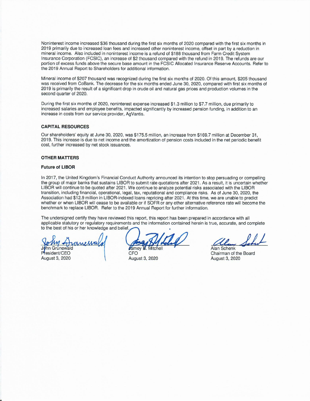Noninterest income increased \$36 thousand during the first six months of 2020 compared with the first six months in 2019 primarily due to increased loan fees and increased other noninterest income, offset in part by a reduction in mineral income. Also included in noninterest income is a refund of \$188 thousand from Farm Credit System Insurance Corporation (FCSIC), an increase of \$2 thousand compared with the refund in 2019. The refunds are our portion of excess funds above the secure base amount in the FCSIC Allocated Insurance Reserve Accounts. Refer to the 2019 Annual Report to Shareholders for additional information.

Mineral income of \$207 thousand was recognized during the first six months of 2020. Of this amount, \$205 thousand was received from CoBank. The decrease for the six months ended June 30, 2020, compared with first six months of 2019 is primarily the result of a significant drop in crude oil and natural gas prices and production volumes in the second quarter of 2020.

During the first six months of 2020, noninterest expense increased \$1.3 million to \$7.7 million, due primarily to increased salaries and employee benefits, impacted significantly by increased pension funding, in addition to an increase in costs from our service provider, AgVantis.

#### **CAPITAL RESOURCES**

Our shareholders' equity at June 30, 2020, was \$175.5 million, an increase from \$169.7 million at December 31, 2019. This increase is due to net income and the amortization of pension costs included in the net periodic benefit cost, further increased by net stock issuances.

#### **OTHER MATTERS**

#### **Future of LIBOR**

In 2017, the United Kingdom's Financial Conduct Authority announced its intention to stop persuading or compelling the group of major banks that sustains LIBOR to submit rate quotations after 2021. As a result, it is uncertain whether LIBOR will continue to be quoted after 2021. We continue to analyze potential risks associated with the LIBOR transition, including financial, operational, legal, tax, reputational and compliance risks. As of June 30, 2020, the Association had \$12.9 million in LIBOR-indexed loans repricing after 2021. At this time, we are unable to predict whether or when LIBOR will cease to be available or if SOFR or any other alternative reference rate will become the benchmark to replace LIBOR. Refer to the 2019 Annual Report for further information.

The undersigned certify they have reviewed this report, this report has been prepared in accordance with all applicable statutory or regulatory requirements and the information contained herein is true, accurate, and complete to the best of his or her knowledge and belief.

MMMME Grunewald

resident/CEO **August 3, 2020** 

Jamey B. Mitchell

CFO **August 3, 2020** 

Alan Schenk Chairman of the Board **August 3, 2020**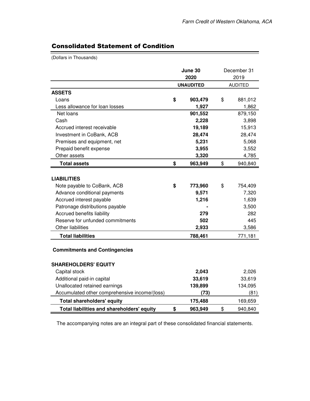## Consolidated Statement of Condition

(Dollars in Thousands)

|                                                                     | June 30<br>2020  | December 31<br>2019 |
|---------------------------------------------------------------------|------------------|---------------------|
|                                                                     | <b>UNAUDITED</b> | <b>AUDITED</b>      |
| <b>ASSETS</b>                                                       |                  |                     |
| Loans                                                               | \$<br>903,479    | \$<br>881,012       |
| Less allowance for loan losses                                      | 1,927            | 1,862               |
| Net loans                                                           | 901,552          | 879,150             |
| Cash                                                                | 2,228            | 3,898               |
| Accrued interest receivable                                         | 19,189           | 15,913              |
| Investment in CoBank, ACB                                           | 28,474           | 28,474              |
| Premises and equipment, net                                         | 5,231            | 5,068               |
| Prepaid benefit expense                                             | 3,955            | 3,552               |
| Other assets                                                        | 3,320            | 4,785               |
| <b>Total assets</b>                                                 | \$<br>963,949    | \$<br>940,840       |
|                                                                     |                  |                     |
| <b>LIABILITIES</b>                                                  |                  |                     |
| Note payable to CoBank, ACB                                         | \$<br>773,960    | \$<br>754,409       |
| Advance conditional payments                                        | 9,571            | 7,320               |
| Accrued interest payable                                            | 1,216            | 1,639               |
| Patronage distributions payable                                     |                  | 3,500               |
| Accrued benefits liability                                          | 279              | 282                 |
| Reserve for unfunded commitments                                    | 502              | 445                 |
| <b>Other liabilities</b>                                            | 2,933            | 3,586               |
| <b>Total liabilities</b>                                            | 788,461          | 771,181             |
| <b>Commitments and Contingencies</b><br><b>SHAREHOLDERS' EQUITY</b> |                  |                     |
| Capital stock                                                       | 2,043            | 2,026               |
| Additional paid-in capital                                          | 33,619           | 33,619              |
| Unallocated retained earnings                                       | 139,899          | 134,095             |
| Accumulated other comprehensive income/(loss)                       | (73)             | (81)                |
| <b>Total shareholders' equity</b>                                   | 175,488          | 169,659             |
| Total liabilities and shareholders' equity                          | \$<br>963,949    | \$<br>940,840       |

The accompanying notes are an integral part of these consolidated financial statements.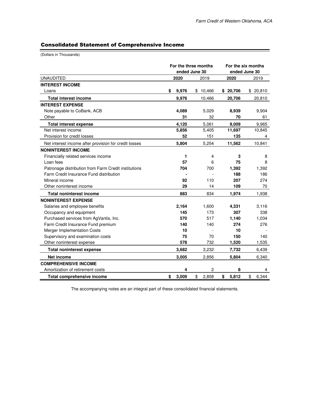### Consolidated Statement of Comprehensive Income

(Dollars in Thousands)

|                                                       |             | For the three months<br>ended June 30 |             | For the six months<br>ended June 30 |
|-------------------------------------------------------|-------------|---------------------------------------|-------------|-------------------------------------|
| <b>UNAUDITED</b>                                      | 2020        | 2019                                  | 2020        | 2019                                |
| <b>INTEREST INCOME</b>                                |             |                                       |             |                                     |
| Loans                                                 | 9,976<br>\$ | \$10,466                              | \$20,706    | \$20,810                            |
| <b>Total interest income</b>                          | 9,976       | 10,466                                | 20,706      | 20,810                              |
| <b>INTEREST EXPENSE</b>                               |             |                                       |             |                                     |
| Note payable to CoBank, ACB                           | 4,089       | 5,029                                 | 8,939       | 9,904                               |
| Other                                                 | 31          | 32                                    | 70          | 61                                  |
| <b>Total interest expense</b>                         | 4,120       | 5,061                                 | 9,009       | 9,965                               |
| Net interest income                                   | 5,856       | 5,405                                 | 11,697      | 10,845                              |
| Provision for credit losses                           | 52          | 151                                   | 135         | 4                                   |
| Net interest income after provision for credit losses | 5,804       | 5,254                                 | 11,562      | 10,841                              |
| <b>NONINTEREST INCOME</b>                             |             |                                       |             |                                     |
| Financially related services income                   |             | 1<br>4                                | 3           | 8                                   |
| Loan fees                                             | 57          | 6                                     | 75          | 8                                   |
| Patronage distribution from Farm Credit institutions  | 704         | 700                                   | 1,392       | 1,392                               |
| Farm Credit Insurance Fund distribution               |             |                                       | 188         | 186                                 |
| Mineral income                                        | 92          | 110                                   | 207         | 274                                 |
| Other noninterest income                              | 29          | 14                                    | 109         | 70                                  |
| <b>Total noninterest income</b>                       | 883         | 834                                   | 1,974       | 1,938                               |
| <b>NONINTEREST EXPENSE</b>                            |             |                                       |             |                                     |
| Salaries and employee benefits                        | 2,164       | 1,600                                 | 4,331       | 3,116                               |
| Occupancy and equipment                               | 145         | 173                                   | 307         | 338                                 |
| Purchased services from AgVantis, Inc.                | 570         | 517                                   | 1,140       | 1,034                               |
| Farm Credit Insurance Fund premium                    | 140         | 140                                   | 274         | 276                                 |
| Merger Implementation Costs                           | 10          |                                       | 10          |                                     |
| Supervisory and examination costs                     | 75          | 70                                    | 150         | 140                                 |
| Other noninterest expense                             | 578         | 732                                   | 1,520       | 1,535                               |
| <b>Total noninterest expense</b>                      | 3,682       | 3,232                                 | 7,732       | 6,439                               |
| Net income                                            | 3,005       | 2,856                                 | 5,804       | 6,340                               |
| <b>COMPREHENSIVE INCOME</b>                           |             |                                       |             |                                     |
| Amortization of retirement costs                      |             | $\overline{c}$<br>4                   | 8           | 4                                   |
| <b>Total comprehensive income</b>                     | 3,009<br>\$ | \$<br>2,858                           | 5,812<br>\$ | \$<br>6,344                         |

The accompanying notes are an integral part of these consolidated financial statements.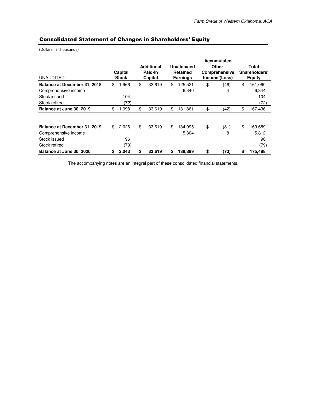### Consolidated Statement of Changes in Shareholders' Equity

(Dollars in Thousands)

|                              |              |                   |                 |                 | <b>Accumulated</b> |               |               |  |
|------------------------------|--------------|-------------------|-----------------|-----------------|--------------------|---------------|---------------|--|
|                              |              | <b>Additional</b> |                 | Unallocated     | Other              |               | Total         |  |
|                              | Capital      | Paid-In           | <b>Retained</b> |                 | Comprehensive      |               | Shareholders' |  |
| <b>UNAUDITED</b>             | <b>Stock</b> | Capital           |                 | <b>Earnings</b> | Income/(Loss)      | <b>Equity</b> |               |  |
| Balance at December 31, 2018 | \$<br>1,966  | \$<br>33,619      | \$.             | 125,521         | \$<br>(46)         | \$            | 161,060       |  |
| Comprehensive income         |              |                   |                 | 6,340           | 4                  |               | 6,344         |  |
| Stock issued                 | 104          |                   |                 |                 |                    |               | 104           |  |
| Stock retired                | (72)         |                   |                 |                 |                    |               | (72)          |  |
| Balance at June 30, 2019     | \$<br>1,998  | \$<br>33,619      | \$              | 131,861         | \$<br>(42)         | \$            | 167,436       |  |
|                              |              |                   |                 |                 |                    |               |               |  |
| Balance at December 31, 2019 | \$<br>2,026  | \$<br>33,619      | \$              | 134,095         | \$<br>(81)         | \$            | 169,659       |  |
| Comprehensive income         |              |                   |                 | 5,804           | 8                  |               | 5,812         |  |
| Stock issued                 | 96           |                   |                 |                 |                    |               | 96            |  |
| Stock retired                | (79)         |                   |                 |                 |                    |               | (79)          |  |
| Balance at June 30, 2020     | \$<br>2,043  | \$<br>33,619      | \$              | 139,899         | \$<br>(73)         | \$            | 175,488       |  |

The accompanying notes are an integral part of these consolidated financial statements.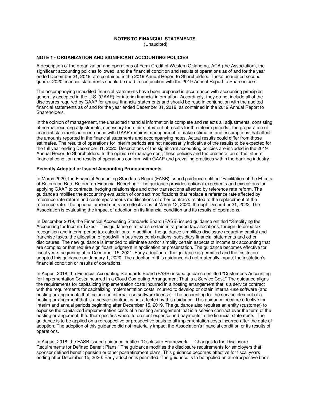#### **NOTES TO FINANCIAL STATEMENTS**  (Unaudited)

#### **NOTE 1 - ORGANIZATION AND SIGNIFICANT ACCOUNTING POLICIES**

A description of the organization and operations of Farm Credit of Western Oklahoma, ACA (the Association), the significant accounting policies followed, and the financial condition and results of operations as of and for the year ended December 31, 2019, are contained in the 2019 Annual Report to Shareholders. These unaudited second quarter 2020 financial statements should be read in conjunction with the 2019 Annual Report to Shareholders.

The accompanying unaudited financial statements have been prepared in accordance with accounting principles generally accepted in the U.S. (GAAP) for interim financial information. Accordingly, they do not include all of the disclosures required by GAAP for annual financial statements and should be read in conjunction with the audited financial statements as of and for the year ended December 31, 2019, as contained in the 2019 Annual Report to Shareholders.

In the opinion of management, the unaudited financial information is complete and reflects all adjustments, consisting of normal recurring adjustments, necessary for a fair statement of results for the interim periods. The preparation of financial statements in accordance with GAAP requires management to make estimates and assumptions that affect the amounts reported in the financial statements and accompanying notes. Actual results could differ from those estimates. The results of operations for interim periods are not necessarily indicative of the results to be expected for the full year ending December 31, 2020. Descriptions of the significant accounting policies are included in the 2019 Annual Report to Shareholders. In the opinion of management, these policies and the presentation of the interim financial condition and results of operations conform with GAAP and prevailing practices within the banking industry.

#### **Recently Adopted or Issued Accounting Pronouncements**

In March 2020, the Financial Accounting Standards Board (FASB) issued guidance entitled "Facilitation of the Effects of Reference Rate Reform on Financial Reporting." The guidance provides optional expedients and exceptions for applying GAAP to contracts, hedging relationships and other transactions affected by reference rate reform. The guidance simplifies the accounting evaluation of contract modifications that replace a reference rate affected by reference rate reform and contemporaneous modifications of other contracts related to the replacement of the reference rate. The optional amendments are effective as of March 12, 2020, through December 31, 2022. The Association is evaluating the impact of adoption on its financial condition and its results of operations.

In December 2019, the Financial Accounting Standards Board (FASB) issued guidance entitled "Simplifying the Accounting for Income Taxes." This guidance eliminates certain intra period tax allocations, foreign deferred tax recognition and interim period tax calculations. In addition, the guidance simplifies disclosure regarding capital and franchise taxes, the allocation of goodwill in business combinations, subsidiary financial statements and other disclosures. The new guidance is intended to eliminate and/or simplify certain aspects of income tax accounting that are complex or that require significant judgment in application or presentation. The guidance becomes effective for fiscal years beginning after December 15, 2021. Early adoption of the guidance is permitted and the institution adopted this guidance on January 1, 2020. The adoption of this guidance did not materially impact the institution's financial condition or results of operations.

In August 2018, the Financial Accounting Standards Board (FASB) issued guidance entitled "Customer's Accounting for Implementation Costs Incurred in a Cloud Computing Arrangement That Is a Service Cost." The guidance aligns the requirements for capitalizing implementation costs incurred in a hosting arrangement that is a service contract with the requirements for capitalizing implementation costs incurred to develop or obtain internal-use software (and hosting arrangements that include an internal-use software license). The accounting for the service element of a hosting arrangement that is a service contract is not affected by this guidance. This guidance became effective for interim and annual periods beginning after December 15, 2019. The guidance also requires an entity (customer) to expense the capitalized implementation costs of a hosting arrangement that is a service contract over the term of the hosting arrangement. It further specifies where to present expense and payments in the financial statements. The guidance is to be applied on a retrospective or prospective basis to all implementation costs incurred after the date of adoption. The adoption of this guidance did not materially impact the Association's financial condition or its results of operations.

In August 2018, the FASB issued guidance entitled "Disclosure Framework — Changes to the Disclosure Requirements for Defined Benefit Plans." The guidance modifies the disclosure requirements for employers that sponsor defined benefit pension or other postretirement plans. This guidance becomes effective for fiscal years ending after December 15, 2020. Early adoption is permitted. The guidance is to be applied on a retrospective basis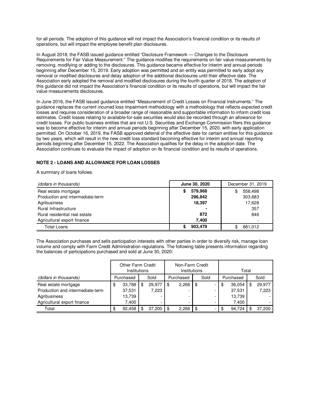for all periods. The adoption of this guidance will not impact the Association's financial condition or its results of operations, but will impact the employee benefit plan disclosures.

In August 2018, the FASB issued guidance entitled "Disclosure Framework — Changes to the Disclosure Requirements for Fair Value Measurement." The guidance modifies the requirements on fair value measurements by removing, modifying or adding to the disclosures. This guidance became effective for interim and annual periods beginning after December 15, 2019. Early adoption was permitted and an entity was permitted to early adopt any removal or modified disclosures and delay adoption of the additional disclosures until their effective date. The Association early adopted the removal and modified disclosures during the fourth quarter of 2018. The adoption of this guidance did not impact the Association's financial condition or its results of operations, but will impact the fair value measurements disclosures.

In June 2016, the FASB issued guidance entitled "Measurement of Credit Losses on Financial Instruments." The guidance replaces the current incurred loss impairment methodology with a methodology that reflects expected credit losses and requires consideration of a broader range of reasonable and supportable information to inform credit loss estimates. Credit losses relating to available-for-sale securities would also be recorded through an allowance for credit losses. For public business entities that are not U.S. Securities and Exchange Commission filers this guidance was to become effective for interim and annual periods beginning after December 15, 2020, with early application permitted. On October 16, 2019, the FASB approved deferral of the effective date for certain entities for this guidance by two years, which will result in the new credit loss standard becoming effective for interim and annual reporting periods beginning after December 15, 2022. The Association qualifies for the delay in the adoption date. The Association continues to evaluate the impact of adoption on its financial condition and its results of operations.

#### **NOTE 2 - LOANS AND ALLOWANCE FOR LOAN LOSSES**

A summary of loans follows.

| (dollars in thousands)           | June 30, 2020 | December 31, 2019 |
|----------------------------------|---------------|-------------------|
| Real estate mortgage             | 579,968<br>S  | 558,498<br>\$     |
| Production and intermediate-term | 296,842       | 303,683           |
| Agribusiness                     | 18,397        | 17,628            |
| Rural Infrastructure             |               | 357               |
| Rural residential real estate    | 872           | 846               |
| Agricultural export finance      | 7.400         |                   |
| <b>Total Loans</b>               | 903,479       | 881,012           |

The Association purchases and sells participation interests with other parties in order to diversify risk, manage loan volume and comply with Farm Credit Administration regulations. The following table presents information regarding the balances of participations purchased and sold at June 30, 2020:

|                                  | Other Farm Credit<br>Institutions |           |      |        | Non-Farm Credit<br>Institutions |                          |     |      |      | Total     |      |        |  |
|----------------------------------|-----------------------------------|-----------|------|--------|---------------------------------|--------------------------|-----|------|------|-----------|------|--------|--|
| (dollars in thousands)           |                                   | Purchased | Sold |        |                                 | Purchased                |     | Sold |      | Purchased | Sold |        |  |
| Real estate mortgage             | \$                                | 33,788    | \$   | 29,977 |                                 | 2,266                    | \$  |      | -\$  | 36,054    |      | 29,977 |  |
| Production and intermediate-term |                                   | 37,531    |      | 7,223  |                                 | $\overline{\phantom{0}}$ |     |      |      | 37,531    |      | 7,223  |  |
| Agribusiness                     |                                   | 13,739    |      |        |                                 | -                        |     |      |      | 13,739    |      |        |  |
| Agricultural export finance      |                                   | 7.400     |      |        |                                 |                          |     |      |      | 7.400     |      |        |  |
| Total                            | Œ                                 | 92,458    |      | 37,200 |                                 | 2,266                    | \$. |      | - \$ | 94,724    |      | 37,200 |  |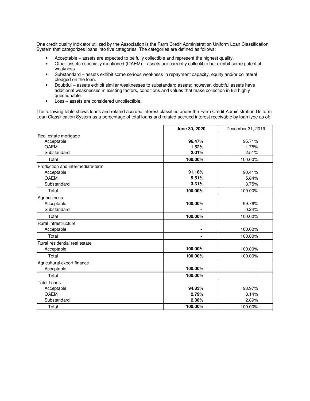One credit quality indicator utilized by the Association is the Farm Credit Administration Uniform Loan Classification System that categorizes loans into five categories. The categories are defined as follows:

- Acceptable assets are expected to be fully collectible and represent the highest quality.
- Other assets especially mentioned (OAEM) assets are currently collectible but exhibit some potential weakness.
- Substandard assets exhibit some serious weakness in repayment capacity, equity and/or collateral pledged on the loan.
- Doubtful assets exhibit similar weaknesses to substandard assets; however, doubtful assets have additional weaknesses in existing factors, conditions and values that make collection in full highly questionable.
- Loss assets are considered uncollectible.

The following table shows loans and related accrued interest classified under the Farm Credit Administration Uniform Loan Classification System as a percentage of total loans and related accrued interest receivable by loan type as of:

|                                  | June 30, 2020 | December 31, 2019 |
|----------------------------------|---------------|-------------------|
| Real estate mortgage             |               |                   |
| Acceptable                       | 96.47%        | 95.71%            |
| <b>OAEM</b>                      | 1.52%         | 1.78%             |
| Substandard                      | 2.01%         | 2.51%             |
| Total                            | 100.00%       | 100.00%           |
| Production and intermediate-term |               |                   |
| Acceptable                       | 91.18%        | 90.41%            |
| <b>OAEM</b>                      | 5.51%         | 5.84%             |
| Substandard                      | 3.31%         | 3.75%             |
| Total                            | 100.00%       | 100.00%           |
| Agribusiness                     |               |                   |
| Acceptable                       | 100.00%       | 99.76%            |
| Substandard                      |               | 0.24%             |
| Total                            | 100.00%       | 100.00%           |
| Rural infrastructure             |               |                   |
| Acceptable                       |               | 100.00%           |
| Total                            |               | 100.00%           |
| Rural residential real estate    |               |                   |
| Acceptable                       | 100.00%       | 100.00%           |
| Total                            | 100.00%       | 100.00%           |
| Agricultural export finance      |               |                   |
| Acceptable                       | 100.00%       |                   |
| Total                            | 100.00%       | $\overline{a}$    |
| <b>Total Loans</b>               |               |                   |
| Acceptable                       | 94.83%        | 93.97%            |
| <b>OAEM</b>                      | 2.79%         | 3.14%             |
| Substandard                      | 2.38%         | 2.89%             |
| Total                            | 100.00%       | 100.00%           |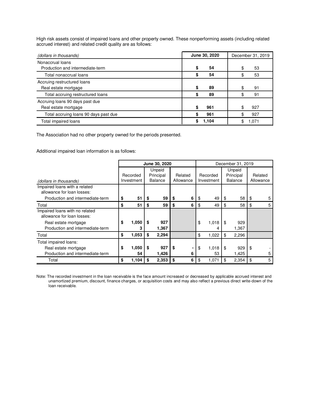High risk assets consist of impaired loans and other property owned. These nonperforming assets (including related accrued interest) and related credit quality are as follows:

| (dollars in thousands)                                  | June 30, 2020 | December 31, 2019 |
|---------------------------------------------------------|---------------|-------------------|
| Nonaccrual loans<br>Production and intermediate-term    | S<br>54       | 53                |
| Total nonaccrual loans                                  | 54<br>S       | 53                |
| Accruing restructured loans<br>Real estate mortgage     | \$.<br>89     | 91                |
| Total accruing restructured loans                       | 89<br>S       | 91                |
| Accruing loans 90 days past due<br>Real estate mortgage | \$<br>961     | 927               |
| Total accruing loans 90 days past due                   | 961<br>S      | 927               |
| Total impaired loans                                    | 1.104         | 1.071             |

The Association had no other property owned for the periods presented.

Additional impaired loan information is as follows:

|                                                              |             |    | June 30, 2020  |    | December 31, 2019 |    |            |        |                |     |           |
|--------------------------------------------------------------|-------------|----|----------------|----|-------------------|----|------------|--------|----------------|-----|-----------|
|                                                              |             |    | Unpaid         |    |                   |    |            | Unpaid |                |     |           |
|                                                              | Recorded    |    | Principal      |    | Related           |    | Recorded   |        | Principal      |     | Related   |
| (dollars in thousands)                                       | Investment  |    | <b>Balance</b> |    | Allowance         |    | Investment |        | <b>Balance</b> |     | Allowance |
| Impaired loans with a related<br>allowance for loan losses:  |             |    |                |    |                   |    |            |        |                |     |           |
| Production and intermediate-term                             | \$<br>51    | \$ | 59             | \$ | 6                 | \$ | 49         | -\$    | $58$   \$      |     | 5         |
| Total                                                        | \$<br>51    | \$ | 59             | \$ | 6                 | \$ | 49         | \$     | 58             | \$  | 5         |
| Impaired loans with no related<br>allowance for loan losses: |             |    |                |    |                   |    |            |        |                |     |           |
| Real estate mortgage                                         | \$<br>1,050 | S  | 927            |    |                   | \$ | 1,018      | -\$    | 929            |     |           |
| Production and intermediate-term                             | з           |    | 1,367          |    |                   |    | 4          |        | 1,367          |     |           |
| Total                                                        | \$<br>1,053 | S  | 2,294          |    |                   | \$ | 1,022      | \$     | 2,296          |     |           |
| Total impaired loans:                                        |             |    |                |    |                   |    |            |        |                |     |           |
| Real estate mortgage                                         | \$<br>1,050 | \$ | 927            | \$ | ۰                 | \$ | 1,018      | -\$    | 929            | -\$ |           |
| Production and intermediate-term                             | 54          |    | 1,426          |    | 6                 |    | 53         |        | 1,425          |     | 5         |
| Total                                                        | \$<br>1,104 | S  | 2,353          | \$ | 6                 | \$ | 1,071      | \$     | 2,354          | -\$ | 5         |

Note: The recorded investment in the loan receivable is the face amount increased or decreased by applicable accrued interest and unamortized premium, discount, finance charges, or acquisition costs and may also reflect a previous direct write-down of the loan receivable.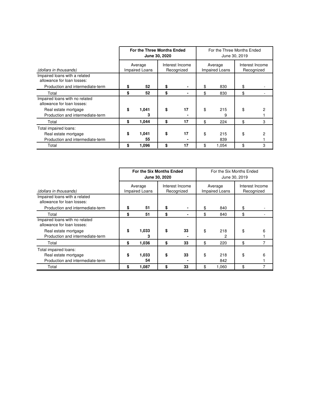|                                                              | For the Three Months Ended       | June 30, 2020 |                               | For the Three Months Ended<br>June 30, 2019 |                           |                               |   |  |  |  |
|--------------------------------------------------------------|----------------------------------|---------------|-------------------------------|---------------------------------------------|---------------------------|-------------------------------|---|--|--|--|
| (dollars in thousands)                                       | Average<br><b>Impaired Loans</b> |               | Interest Income<br>Recognized |                                             | Average<br>Impaired Loans | Interest Income<br>Recognized |   |  |  |  |
| Impaired loans with a related<br>allowance for loan losses:  |                                  |               |                               |                                             |                           |                               |   |  |  |  |
| Production and intermediate-term                             | 52                               |               |                               | \$                                          | 830                       | \$                            |   |  |  |  |
| Total                                                        | \$<br>52                         | \$            |                               | \$                                          | 830                       | \$                            |   |  |  |  |
| Impaired loans with no related<br>allowance for loan losses: |                                  |               |                               |                                             |                           |                               |   |  |  |  |
| Real estate mortgage<br>Production and intermediate-term     | \$<br>1,041<br>з                 | \$            | 17                            | \$                                          | 215<br>9                  | \$                            |   |  |  |  |
| Total                                                        | \$<br>1,044                      | \$            | 17                            | \$                                          | 224                       | \$                            | 3 |  |  |  |
| Total impaired loans:                                        |                                  |               |                               |                                             |                           |                               |   |  |  |  |
| Real estate mortgage                                         | \$<br>1,041                      | \$            | 17                            | \$                                          | 215                       | \$                            |   |  |  |  |
| Production and intermediate-term                             | 55                               |               |                               |                                             | 839                       |                               |   |  |  |  |
| Total                                                        | \$<br>1,096                      | \$            | 17                            | \$                                          | 1,054                     | \$                            | 3 |  |  |  |

|                                                                                   |    | For the Six Months Ended         | June 30, 2020 |                               | For the Six Months Ended<br>June 30, 2019 |                                  |                               |   |  |  |  |
|-----------------------------------------------------------------------------------|----|----------------------------------|---------------|-------------------------------|-------------------------------------------|----------------------------------|-------------------------------|---|--|--|--|
| (dollars in thousands)                                                            |    | Average<br><b>Impaired Loans</b> |               | Interest Income<br>Recognized |                                           | Average<br><b>Impaired Loans</b> | Interest Income<br>Recognized |   |  |  |  |
| Impaired loans with a related<br>allowance for loan losses:                       |    |                                  |               |                               |                                           |                                  |                               |   |  |  |  |
| Production and intermediate-term                                                  | S  | 51                               | \$            |                               | \$                                        | 840                              | \$                            |   |  |  |  |
| Total                                                                             | \$ | 51                               | \$            |                               | \$                                        | 840                              | \$                            |   |  |  |  |
| Impaired loans with no related<br>allowance for loan losses:                      |    |                                  |               |                               |                                           |                                  |                               |   |  |  |  |
| Real estate mortgage<br>Production and intermediate-term                          | \$ | 1,033<br>3                       |               | 33                            | \$                                        | 218<br>2                         | \$                            | 6 |  |  |  |
| Total                                                                             | \$ | 1,036                            | \$            | 33                            | \$                                        | 220                              | \$                            | 7 |  |  |  |
| Total impaired loans:<br>Real estate mortgage<br>Production and intermediate-term | \$ | 1,033<br>54                      | \$            | 33                            | \$                                        | 218<br>842                       | \$                            | 6 |  |  |  |
| Total                                                                             | \$ | 1,087                            | \$            | 33                            | \$                                        | 1,060                            | \$                            |   |  |  |  |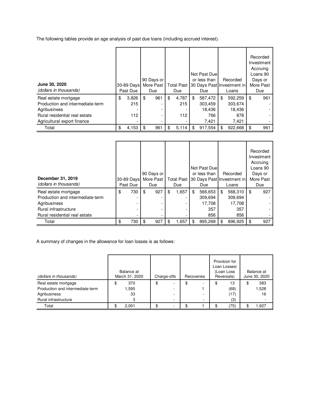The following tables provide an age analysis of past due loans (including accrued interest).

| June 30, 2020<br>(dollars in thousands) | 30-89 Days<br>Past Due |     | 90 Days or<br>More Past<br>Due | <b>Total Past</b><br>Due |     | Not Past Due<br>or less than<br>30 Days Past Investment in<br>Due | Recorded<br>Loans | Recorded<br>Investment<br>Accruing<br>Loans 90<br>Days or<br>More Past<br>Due |
|-----------------------------------------|------------------------|-----|--------------------------------|--------------------------|-----|-------------------------------------------------------------------|-------------------|-------------------------------------------------------------------------------|
| Real estate mortgage                    | \$<br>3,826            | -\$ | 961                            | \$<br>4,787              | \$  | 587,472                                                           | \$<br>592,259     | \$<br>961                                                                     |
| Production and intermediate-term        | 215                    |     |                                | 215                      |     | 303,459                                                           | 303,674           |                                                                               |
| Agribusiness                            |                        |     |                                |                          |     | 18.436                                                            | 18,436            |                                                                               |
| Rural residential real estate           | 112                    |     |                                | 112                      |     | 766                                                               | 878               |                                                                               |
| Agricultural export finance             |                        |     |                                |                          |     | 7,421                                                             | 7,421             |                                                                               |
| Total                                   | \$<br>4,153            | -\$ | 961                            | \$<br>5,114              | \$. | 917,554                                                           | \$<br>922,668     | \$<br>961                                                                     |

| December 31, 2019<br>(dollars in thousands) | 30-89 Days<br>Past Due | 90 Days or<br>More Past<br>Due |     | <b>Total Past</b><br>Due |     | Not Past Due<br>or less than<br>30 Days Past Investment in<br>Due | Recorded<br>Loans | Recorded<br>Investment<br>Accruing<br>Loans 90<br>Days or<br>More Past<br>Due |
|---------------------------------------------|------------------------|--------------------------------|-----|--------------------------|-----|-------------------------------------------------------------------|-------------------|-------------------------------------------------------------------------------|
| Real estate mortgage                        | \$<br>730              | \$<br>927                      | \$  | 1,657                    | \$  | 566,653                                                           | \$<br>568,310     | \$<br>927                                                                     |
| Production and intermediate-term            |                        |                                |     |                          |     | 309,694                                                           | 309,694           |                                                                               |
| Agribusiness                                |                        |                                |     |                          |     | 17,708                                                            | 17,708            |                                                                               |
| Rural infrastructure                        |                        |                                |     |                          |     | 357                                                               | 357               |                                                                               |
| Rural residential real estate               |                        |                                |     |                          |     | 856                                                               | 856               |                                                                               |
| Total                                       | \$<br>730              | \$<br>927                      | \$. | 1,657                    | \$. | 895,268                                                           | \$<br>896,925     | \$<br>927                                                                     |

A summary of changes in the allowance for loan losses is as follows:

| (dollars in thousands)           | Balance at<br>March 31, 2020 | Charge-offs | Recoveries |    | Provision for<br>Loan Losses/<br>(Loan Loss<br>Reversals) | Balance at<br>June 30, 2020 |
|----------------------------------|------------------------------|-------------|------------|----|-----------------------------------------------------------|-----------------------------|
| Real estate mortgage             | \$<br>370                    | \$          |            | \$ | 13                                                        | 383                         |
| Production and intermediate-term | 595. ا                       | -           |            |    | (68)                                                      | 1,528                       |
| Agribusiness                     | 33                           |             |            |    | (17)                                                      | 16                          |
| Rural infrastructure             | 3                            | $\sim$      |            |    | (3)                                                       |                             |
| Total                            | 2,001                        | -           |            |    | (75)                                                      | \$<br>1,927                 |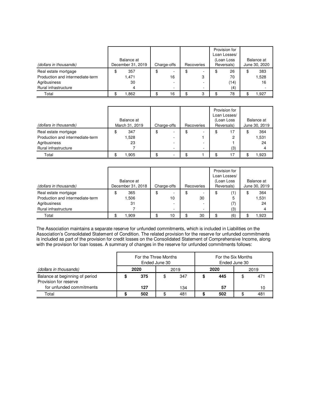|                                  |   | Balance at        |   |             |            | Provision for<br>Loan Losses/<br>(Loan Loss | Balance at    |
|----------------------------------|---|-------------------|---|-------------|------------|---------------------------------------------|---------------|
| (dollars in thousands)           |   | December 31, 2019 |   | Charge-offs | Recoveries | Reversals)                                  | June 30, 2020 |
| Real estate mortgage             | Œ | 357               | ง | -           |            | \$<br>26                                    | \$<br>383     |
| Production and intermediate-term |   | 1,471             |   | 16          | 3          | 70                                          | 528.          |
| Agribusiness                     |   | 30                |   |             |            | (14)                                        | 16            |
| Rural infrastructure             |   | 4                 |   |             |            | (4)                                         |               |
| Total                            |   | .862              |   | 16          | 3          | 78                                          | 1.927         |

| (dollars in thousands)           | Balance at<br>March 31, 2019 | Charge-offs | Recoveries | Provision for<br>Loan Losses/<br>(Loan Loss<br>Reversals) | Balance at<br>June 30, 2019 |
|----------------------------------|------------------------------|-------------|------------|-----------------------------------------------------------|-----------------------------|
| Real estate mortgage             | 347<br>Φ                     | \$<br>۰     |            | 17<br>\$                                                  | 364                         |
| Production and intermediate-term | .528                         | -           |            | $\overline{c}$                                            | 1,531                       |
| Agribusiness                     | 23                           | -           |            |                                                           | 24                          |
| Rural infrastructure             |                              | -           |            | (3)                                                       | 4                           |
| Total                            | l.905                        | ۰           |            | 17                                                        | 1.923                       |

| (dollars in thousands)                                                   | Balance at<br>December 31, 2018 |   | Charge-offs  | Recoveries | Provision for<br>Loan Losses/<br>(Loan Loss<br>Reversals) | Balance at<br>June 30, 2019 |
|--------------------------------------------------------------------------|---------------------------------|---|--------------|------------|-----------------------------------------------------------|-----------------------------|
| Real estate mortgage<br>Production and intermediate-term<br>Agribusiness | 365<br>.506<br>31               | จ | -<br>10<br>- | 30         | \$<br>(1)<br>5<br>(7)                                     | \$<br>364<br>1,531<br>24    |
| Rural infrastructure                                                     |                                 |   | -            |            | (3)                                                       |                             |
| Total                                                                    | 1.909                           |   | 10           | 30         | (6)                                                       | 1,923                       |

The Association maintains a separate reserve for unfunded commitments, which is included in Liabilities on the Association's Consolidated Statement of Condition. The related provision for the reserve for unfunded commitments is included as part of the provision for credit losses on the Consolidated Statement of Comprehensive Income, along with the provision for loan losses. A summary of changes in the reserve for unfunded commitments follows:

|                                                                                     |              | For the Three Months | Ended June 30 |            |   | For the Six Months | Ended June 30 |           |
|-------------------------------------------------------------------------------------|--------------|----------------------|---------------|------------|---|--------------------|---------------|-----------|
| (dollars in thousands)                                                              | 2020<br>2019 |                      |               |            |   | 2020               | 2019          |           |
| Balance at beginning of period<br>Provision for reserve<br>for unfunded commitments |              | 375<br>127           | \$            | 347<br>134 | œ | 445<br>57          |               | 471<br>10 |
| Total                                                                               |              | 502                  |               | 481        |   | 502                |               | 481       |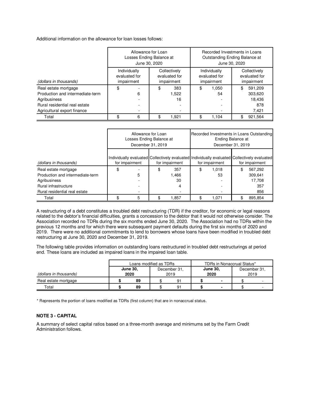Additional information on the allowance for loan losses follows:

|                                  |     | Allowance for Loan<br>Losses Ending Balance at<br>June 30, 2020 |           |                                             |    | Recorded Investments in Loans<br>Outstanding Ending Balance at | June 30, 2020 |                                             |
|----------------------------------|-----|-----------------------------------------------------------------|-----------|---------------------------------------------|----|----------------------------------------------------------------|---------------|---------------------------------------------|
| (dollars in thousands)           |     | Individually<br>evaluated for<br>impairment                     |           | Collectively<br>evaluated for<br>impairment |    | Individually<br>evaluated for<br>impairment                    |               | Collectively<br>evaluated for<br>impairment |
| Real estate mortgage             | \$  |                                                                 | \$<br>383 |                                             |    | 1.050                                                          | \$            | 591.209                                     |
| Production and intermediate-term |     | 6                                                               |           | 1,522                                       |    | 54                                                             |               | 303,620                                     |
| Agribusiness                     |     |                                                                 |           | 16                                          |    |                                                                |               | 18.436                                      |
| Rural residential real estate    |     |                                                                 |           |                                             |    |                                                                |               | 878                                         |
| Agricultural export finance      |     |                                                                 |           |                                             |    |                                                                |               | 7,421                                       |
| Total                            | \$. | 6<br>1.921                                                      |           |                                             | \$ | 1.104                                                          |               | 921,564                                     |

|                                  | Allowance for Loan<br>Losses Ending Balance at<br>December 31, 2019 |                | Ending Balance at<br>December 31, 2019 | Recorded Investments in Loans Outstanding                                                                     |
|----------------------------------|---------------------------------------------------------------------|----------------|----------------------------------------|---------------------------------------------------------------------------------------------------------------|
| (dollars in thousands)           | for impairment                                                      | for impairment | for impairment                         | Individually evaluated Collectively evaluated Individually evaluated Collectively evaluated<br>for impairment |
| Real estate mortgage             | \$                                                                  | \$<br>357      | \$<br>1.018                            | \$<br>567,292                                                                                                 |
| Production and intermediate-term | 5                                                                   | 1,466          | 53                                     | 309.641                                                                                                       |
| Agribusiness                     |                                                                     | 30             |                                        | 17.708                                                                                                        |
| Rural infrastructure             |                                                                     | 4              |                                        | 357                                                                                                           |
| Rural residential real estate    |                                                                     |                |                                        | 856                                                                                                           |
| Total                            | 5                                                                   | 1.857          | 1.071                                  | 895.854                                                                                                       |

A restructuring of a debt constitutes a troubled debt restructuring (TDR) if the creditor, for economic or legal reasons related to the debtor's financial difficulties, grants a concession to the debtor that it would not otherwise consider. The Association recorded no TDRs during the six months ended June 30, 2020. The Association had no TDRs within the previous 12 months and for which there were subsequent payment defaults during the first six months of 2020 and 2019. There were no additional commitments to lend to borrowers whose loans have been modified in troubled debt restructuring at June 30, 2020 and December 31, 2019.

The following table provides information on outstanding loans restructured in troubled debt restructurings at period end. These loans are included as impaired loans in the impaired loan table.

|                        | Loans modified as TDRs                                                     |    |    |  |                          | TDRs in Nonaccrual Status* |  |  |
|------------------------|----------------------------------------------------------------------------|----|----|--|--------------------------|----------------------------|--|--|
| (dollars in thousands) | <b>June 30,</b><br><b>June 30,</b><br>December 31.<br>2020<br>2020<br>2019 |    |    |  | December 31,<br>2019     |                            |  |  |
| Real estate mortgage   | 89                                                                         |    | 91 |  |                          |                            |  |  |
| Total                  | 89                                                                         | 91 |    |  | $\overline{\phantom{0}}$ |                            |  |  |

\* Represents the portion of loans modified as TDRs (first column) that are in nonaccrual status.

#### **NOTE 3 - CAPITAL**

A summary of select capital ratios based on a three-month average and minimums set by the Farm Credit Administration follows.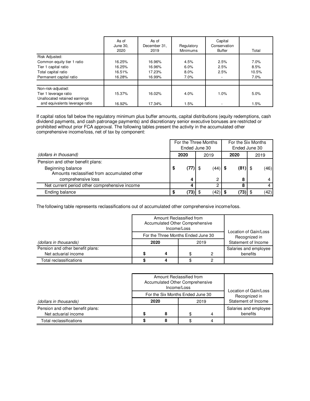|                                | As of<br>June 30,<br>2020 | As of<br>December 31.<br>2019 | Regulatory<br><b>Minimums</b> | Capital<br>Conservation<br><b>Buffer</b> | Total |
|--------------------------------|---------------------------|-------------------------------|-------------------------------|------------------------------------------|-------|
| Risk Adjusted:                 |                           |                               |                               |                                          |       |
| Common equity tier 1 ratio     | 16.25%                    | 16.96%                        | 4.5%                          | 2.5%                                     | 7.0%  |
| Tier 1 capital ratio           | 16.25%                    | 16.96%                        | 6.0%                          | 2.5%                                     | 8.5%  |
| Total capital ratio            | 16.51%                    | 17.23%                        | $8.0\%$                       | 2.5%                                     | 10.5% |
| Permanent capital ratio        | 16.28%                    | 16.99%                        | 7.0%                          |                                          | 7.0%  |
|                                |                           |                               |                               |                                          |       |
| Non-risk-adjusted:             |                           |                               |                               |                                          |       |
| Tier 1 leverage ratio          | 15.37%                    | 16.02%                        | 4.0%                          | 1.0%                                     | 5.0%  |
| Unallocated retained earnings  |                           |                               |                               |                                          |       |
| and equivalents leverage ratio | 16.92%                    | 17.34%                        | 1.5%                          |                                          | 1.5%  |

If capital ratios fall below the regulatory minimum plus buffer amounts, capital distributions (equity redemptions, cash dividend payments, and cash patronage payments) and discretionary senior executive bonuses are restricted or prohibited without prior FCA approval. The following tables present the activity in the accumulated other comprehensive income/loss, net of tax by component:

|                                                                  | For the Three Months<br>Ended June 30 |      | For the Six Months | Ended June 30 |      |  |
|------------------------------------------------------------------|---------------------------------------|------|--------------------|---------------|------|--|
| (dollars in thousand)                                            | 2020                                  | 2019 | 2020               |               | 2019 |  |
| Pension and other benefit plans:                                 |                                       |      |                    |               |      |  |
| Beginning balance<br>Amounts reclassified from accumulated other | \$<br>$(77)$ \$                       | (44) | $(81)$ \$          |               | (46) |  |
| comprehensive loss                                               |                                       | C    | 8                  |               |      |  |
| Net current period other comprehensive income                    |                                       |      |                    |               |      |  |
| Ending balance                                                   | $(73)$ \$                             | (42) |                    |               | (42) |  |

The following table represents reclassifications out of accumulated other comprehensive income/loss.

|                                                          | Amount Reclassified from<br>Accumulated Other Comprehensive | Income/Loss                          |   | Location of Gain/Loss             |
|----------------------------------------------------------|-------------------------------------------------------------|--------------------------------------|---|-----------------------------------|
| (dollars in thousands)                                   | For the Three Months Ended June 30<br>2020                  | Recognized in<br>Statement of Income |   |                                   |
| Pension and other benefit plans:<br>Net actuarial income | Δ                                                           | \$                                   | 0 | Salaries and employee<br>benefits |
| Total reclassifications                                  |                                                             |                                      |   |                                   |

|                                                          |             | Amount Reclassified from<br>Accumulated Other Comprehensive | Income/Loss                          |  | Location of Gain/Loss             |
|----------------------------------------------------------|-------------|-------------------------------------------------------------|--------------------------------------|--|-----------------------------------|
| (dollars in thousands)                                   |             | For the Six Months Ended June 30<br>2020                    | Recognized in<br>Statement of Income |  |                                   |
| Pension and other benefit plans:<br>Net actuarial income | 8<br>S<br>4 |                                                             |                                      |  | Salaries and employee<br>benefits |
| Total reclassifications                                  |             |                                                             |                                      |  |                                   |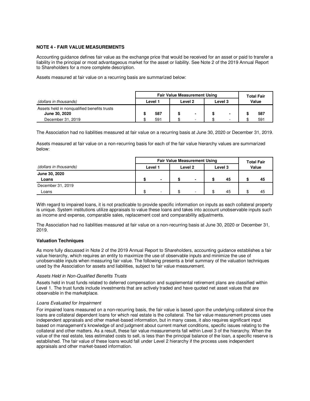#### **NOTE 4 - FAIR VALUE MEASUREMENTS**

Accounting guidance defines fair value as the exchange price that would be received for an asset or paid to transfer a liability in the principal or most advantageous market for the asset or liability. See Note 2 of the 2019 Annual Report to Shareholders for a more complete description.

Assets measured at fair value on a recurring basis are summarized below:

|                                                              | <b>Fair Value Measurement Using</b> |     |                    |   |         |   | <b>Total Fair</b> |     |  |
|--------------------------------------------------------------|-------------------------------------|-----|--------------------|---|---------|---|-------------------|-----|--|
| (dollars in thousands)                                       | Level 1                             |     | Level <sub>2</sub> |   | Level 3 |   | Value             |     |  |
| Assets held in nongualified benefits trusts<br>June 30, 2020 |                                     | 587 |                    |   |         | - |                   | 587 |  |
| December 31, 2019                                            |                                     | 591 |                    | ۰ |         |   |                   | 591 |  |

The Association had no liabilities measured at fair value on a recurring basis at June 30, 2020 or December 31, 2019.

Assets measured at fair value on a non-recurring basis for each of the fair value hierarchy values are summarized below:

|                        | <b>Fair Value Measurement Using</b> |                          |                    |  |         |    | <b>Total Fair</b> |    |
|------------------------|-------------------------------------|--------------------------|--------------------|--|---------|----|-------------------|----|
| (dollars in thousands) | Level 1                             |                          | Level <sub>2</sub> |  | Level 3 |    | Value             |    |
| June 30, 2020<br>Loans | ድ                                   | $\overline{\phantom{0}}$ |                    |  |         | 45 |                   | 45 |
| December 31, 2019      |                                     |                          |                    |  |         |    |                   |    |
| Loans                  | ፍ                                   |                          |                    |  |         | 45 |                   | 45 |

With regard to impaired loans, it is not practicable to provide specific information on inputs as each collateral property is unique. System institutions utilize appraisals to value these loans and takes into account unobservable inputs such as income and expense, comparable sales, replacement cost and comparability adjustments.

The Association had no liabilities measured at fair value on a non-recurring basis at June 30, 2020 or December 31, 2019.

#### **Valuation Techniques**

As more fully discussed in Note 2 of the 2019 Annual Report to Shareholders, accounting guidance establishes a fair value hierarchy, which requires an entity to maximize the use of observable inputs and minimize the use of unobservable inputs when measuring fair value. The following presents a brief summary of the valuation techniques used by the Association for assets and liabilities, subject to fair value measurement.

#### Assets Held in Non-Qualified Benefits Trusts

Assets held in trust funds related to deferred compensation and supplemental retirement plans are classified within Level 1. The trust funds include investments that are actively traded and have quoted net asset values that are observable in the marketplace.

#### Loans Evaluated for Impairment

For impaired loans measured on a non-recurring basis, the fair value is based upon the underlying collateral since the loans are collateral dependent loans for which real estate is the collateral. The fair value measurement process uses independent appraisals and other market-based information, but in many cases, it also requires significant input based on management's knowledge of and judgment about current market conditions, specific issues relating to the collateral and other matters. As a result, these fair value measurements fall within Level 3 of the hierarchy. When the value of the real estate, less estimated costs to sell, is less than the principal balance of the loan, a specific reserve is established. The fair value of these loans would fall under Level 2 hierarchy if the process uses independent appraisals and other market-based information.